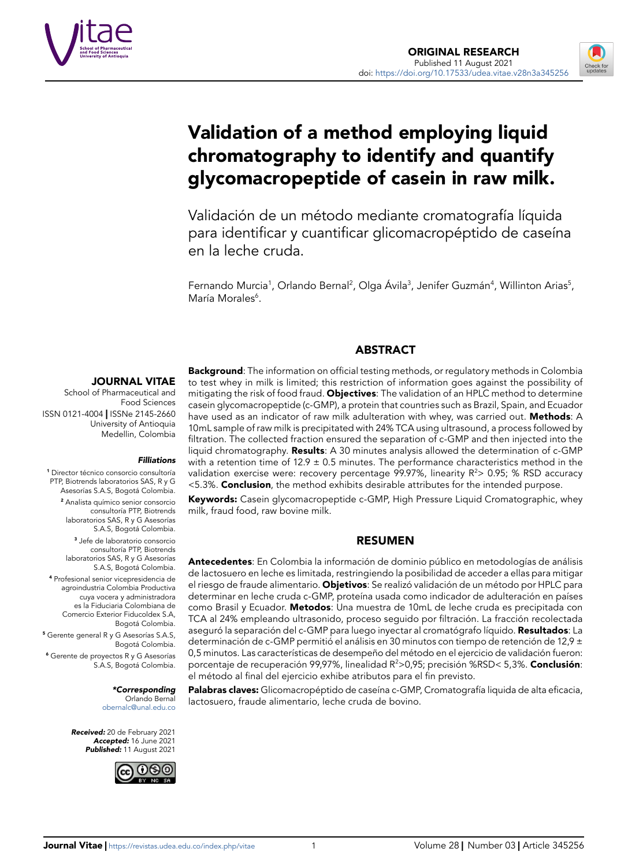



# Validation of a method employing liquid chromatography to identify and quantify glycomacropeptide of casein in raw milk.

Validación de un método mediante cromatografía líquida para identificar y cuantificar glicomacropéptido de caseína en la leche cruda.

Fernando Murcia<sup>1</sup>, Orlando Bernal<sup>2</sup>, Olga Ávila<sup>3</sup>, Jenifer Guzmán<sup>4</sup>, Willinton Arias<sup>5</sup>, María Morales<sup>6</sup>.

#### ABSTRACT

#### JOURNAL VITAE

School of Pharmaceutical and Food Sciences ISSN 0121-4004 | ISSNe 2145-2660 University of Antioquia Medellin, Colombia

#### *Filliations*

1 Director técnico consorcio consultoría PTP, Biotrends laboratorios SAS, R y G Asesorías S.A.S, Bogotá Colombia.

> 2 Analista químico senior consorcio consultoría PTP, Biotrends laboratorios SAS, R y G Asesorías S.A.S, Bogotá Colombia.

> 3 Jefe de laboratorio consorcio consultoría PTP, Biotrends laboratorios SAS, R y G Asesorías S.A.S, Bogotá Colombia.

4 Profesional senior vicepresidencia de agroindustria Colombia Productiva cuya vocera y administradora es la Fiduciaria Colombiana de Comercio Exterior Fiducoldex S.A, Bogotá Colombia.

5 Gerente general R y G Asesorías S.A.S, Bogotá Colombia. 6 Gerente de proyectos R y G Asesorías S.A.S, Bogotá Colombia.

> *\*Corresponding* Orlando Bernal [obernalc@unal.edu.co](mailto:obernalc%40unal.edu.co?subject=)

*Received:* 20 de February 2021 *Accepted:* 16 June 2021 *Published:* 11 August 2021



**Background**: The information on official testing methods, or regulatory methods in Colombia to test whey in milk is limited; this restriction of information goes against the possibility of mitigating the risk of food fraud. Objectives: The validation of an HPLC method to determine casein glycomacropeptide (c-GMP), a protein that countries such as Brazil, Spain, and Ecuador have used as an indicator of raw milk adulteration with whey, was carried out. Methods: A 10mL sample of raw milk is precipitated with 24% TCA using ultrasound, a process followed by filtration. The collected fraction ensured the separation of c-GMP and then injected into the liquid chromatography. Results: A 30 minutes analysis allowed the determination of c-GMP with a retention time of  $12.9 \pm 0.5$  minutes. The performance characteristics method in the validation exercise were: recovery percentage 99.97%, linearity  $R^2$  0.95; % RSD accuracy <5.3%. Conclusion, the method exhibits desirable attributes for the intended purpose.

Keywords: Casein glycomacropeptide c-GMP, High Pressure Liquid Cromatographic, whey milk, fraud food, raw bovine milk.

#### RESUMEN

Antecedentes: En Colombia la información de dominio público en metodologías de análisis de lactosuero en leche es limitada, restringiendo la posibilidad de acceder a ellas para mitigar el riesgo de fraude alimentario. Objetivos: Se realizó validación de un método por HPLC para determinar en leche cruda c-GMP, proteína usada como indicador de adulteración en países como Brasil y Ecuador. Metodos: Una muestra de 10mL de leche cruda es precipitada con TCA al 24% empleando ultrasonido, proceso seguido por filtración. La fracción recolectada aseguró la separación del c-GMP para luego inyectar al cromatógrafo líquido. Resultados: La determinación de c-GMP permitió el análisis en 30 minutos con tiempo de retención de 12,9 ± 0,5 minutos. Las características de desempeño del método en el ejercicio de validación fueron: porcentaje de recuperación 99,97%, linealidad R<sup>2</sup>>0,95; precisión %RSD< 5,3%. **Conclusión**: el método al final del ejercicio exhibe atributos para el fin previsto.

Palabras claves: Glicomacropéptido de caseína c-GMP, Cromatografía liquida de alta eficacia, lactosuero, fraude alimentario, leche cruda de bovino.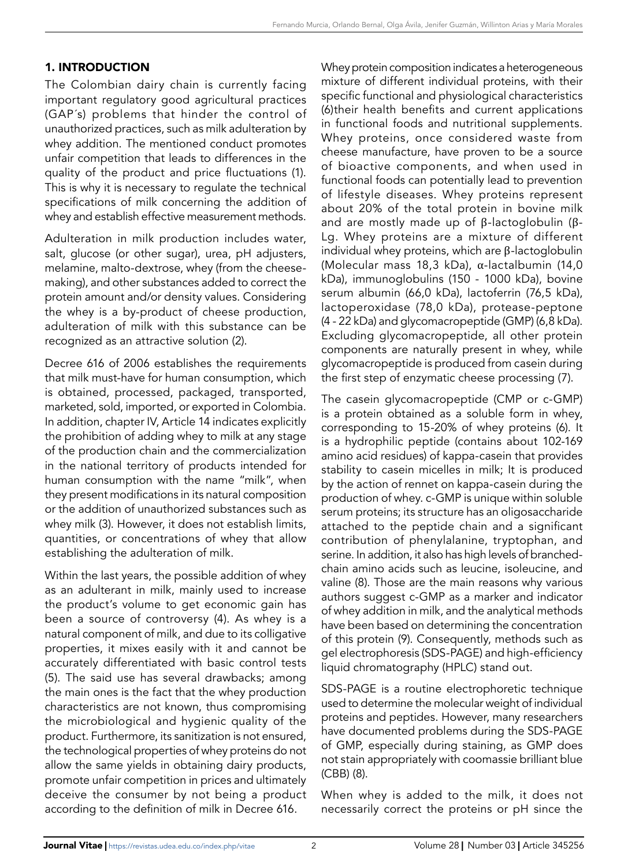# 1. INTRODUCTION

The Colombian dairy chain is currently facing important regulatory good agricultural practices (GAP´s) problems that hinder the control of unauthorized practices, such as milk adulteration by whey addition. The mentioned conduct promotes unfair competition that leads to differences in the quality of the product and price fluctuations (1). This is why it is necessary to regulate the technical specifications of milk concerning the addition of whey and establish effective measurement methods.

Adulteration in milk production includes water, salt, glucose (or other sugar), urea, pH adjusters, melamine, malto-dextrose, whey (from the cheesemaking), and other substances added to correct the protein amount and/or density values. Considering the whey is a by-product of cheese production, adulteration of milk with this substance can be recognized as an attractive solution (2).

Decree 616 of 2006 establishes the requirements that milk must-have for human consumption, which is obtained, processed, packaged, transported, marketed, sold, imported, or exported in Colombia. In addition, chapter IV, Article 14 indicates explicitly the prohibition of adding whey to milk at any stage of the production chain and the commercialization in the national territory of products intended for human consumption with the name "milk", when they present modifications in its natural composition or the addition of unauthorized substances such as whey milk (3). However, it does not establish limits, quantities, or concentrations of whey that allow establishing the adulteration of milk.

Within the last years, the possible addition of whey as an adulterant in milk, mainly used to increase the product's volume to get economic gain has been a source of controversy (4). As whey is a natural component of milk, and due to its colligative properties, it mixes easily with it and cannot be accurately differentiated with basic control tests (5). The said use has several drawbacks; among the main ones is the fact that the whey production characteristics are not known, thus compromising the microbiological and hygienic quality of the product. Furthermore, its sanitization is not ensured, the technological properties of whey proteins do not allow the same yields in obtaining dairy products, promote unfair competition in prices and ultimately deceive the consumer by not being a product according to the definition of milk in Decree 616.

Whey protein composition indicates a heterogeneous mixture of different individual proteins, with their specific functional and physiological characteristics (6)their health benefits and current applications in functional foods and nutritional supplements. Whey proteins, once considered waste from cheese manufacture, have proven to be a source of bioactive components, and when used in functional foods can potentially lead to prevention of lifestyle diseases. Whey proteins represent about 20% of the total protein in bovine milk and are mostly made up of β-lactoglobulin (β-Lg. Whey proteins are a mixture of different individual whey proteins, which are β-lactoglobulin (Molecular mass 18,3 kDa), α-lactalbumin (14,0 kDa), immunoglobulins (150 - 1000 kDa), bovine serum albumin (66,0 kDa), lactoferrin (76,5 kDa), lactoperoxidase (78,0 kDa), protease-peptone (4 - 22 kDa) and glycomacropeptide (GMP) (6,8 kDa). Excluding glycomacropeptide, all other protein components are naturally present in whey, while glycomacropeptide is produced from casein during the first step of enzymatic cheese processing (7).

The casein glycomacropeptide (CMP or c-GMP) is a protein obtained as a soluble form in whey, corresponding to 15-20% of whey proteins (6). It is a hydrophilic peptide (contains about 102-169 amino acid residues) of kappa-casein that provides stability to casein micelles in milk; It is produced by the action of rennet on kappa-casein during the production of whey. c-GMP is unique within soluble serum proteins; its structure has an oligosaccharide attached to the peptide chain and a significant contribution of phenylalanine, tryptophan, and serine. In addition, it also has high levels of branchedchain amino acids such as leucine, isoleucine, and valine (8). Those are the main reasons why various authors suggest c-GMP as a marker and indicator of whey addition in milk, and the analytical methods have been based on determining the concentration of this protein (9). Consequently, methods such as gel electrophoresis (SDS-PAGE) and high-efficiency liquid chromatography (HPLC) stand out.

SDS-PAGE is a routine electrophoretic technique used to determine the molecular weight of individual proteins and peptides. However, many researchers have documented problems during the SDS-PAGE of GMP, especially during staining, as GMP does not stain appropriately with coomassie brilliant blue (CBB) (8).

When whey is added to the milk, it does not necessarily correct the proteins or pH since the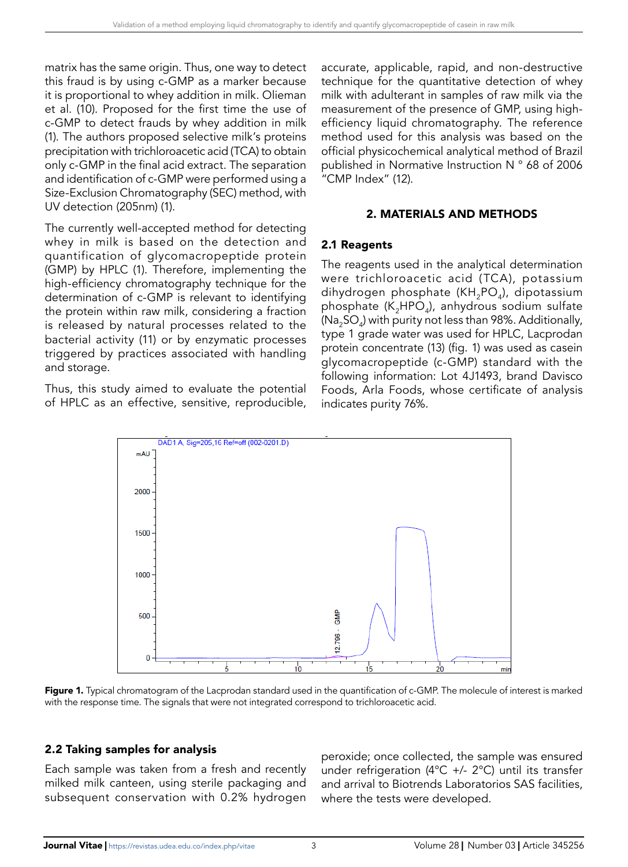matrix has the same origin. Thus, one way to detect this fraud is by using c-GMP as a marker because it is proportional to whey addition in milk. Olieman et al. (10). Proposed for the first time the use of c-GMP to detect frauds by whey addition in milk (1). The authors proposed selective milk's proteins precipitation with trichloroacetic acid (TCA) to obtain only c-GMP in the final acid extract. The separation and identification of c-GMP were performed using a Size-Exclusion Chromatography (SEC) method, with UV detection (205nm) (1).

The currently well-accepted method for detecting whey in milk is based on the detection and quantification of glycomacropeptide protein (GMP) by HPLC (1). Therefore, implementing the high-efficiency chromatography technique for the determination of c-GMP is relevant to identifying the protein within raw milk, considering a fraction is released by natural processes related to the bacterial activity (11) or by enzymatic processes triggered by practices associated with handling and storage.

Thus, this study aimed to evaluate the potential of HPLC as an effective, sensitive, reproducible, accurate, applicable, rapid, and non-destructive technique for the quantitative detection of whey milk with adulterant in samples of raw milk via the measurement of the presence of GMP, using highefficiency liquid chromatography. The reference method used for this analysis was based on the official physicochemical analytical method of Brazil published in Normative Instruction N ° 68 of 2006 "CMP Index" (12).

#### 2. MATERIALS AND METHODS

#### 2.1 Reagents

The reagents used in the analytical determination were trichloroacetic acid (TCA), potassium dihydrogen phosphate ( $KH_{2}PO_{4}$ ), dipotassium phosphate  $(K_2HPO_4)$ , anhydrous sodium sulfate (Na<sub>2</sub>SO<sub>4</sub>) with purity not less than 98%. Additionally, type 1 grade water was used for HPLC, Lacprodan protein concentrate (13) (fig. 1) was used as casein glycomacropeptide (c-GMP) standard with the following information: Lot 4J1493, brand Davisco Foods, Arla Foods, whose certificate of analysis indicates purity 76%.



Figure 1. Typical chromatogram of the Lacprodan standard used in the quantification of c-GMP. The molecule of interest is marked with the response time. The signals that were not integrated correspond to trichloroacetic acid.

#### 2.2 Taking samples for analysis

Each sample was taken from a fresh and recently milked milk canteen, using sterile packaging and subsequent conservation with 0.2% hydrogen

peroxide; once collected, the sample was ensured under refrigeration (4 $^{\circ}$ C +/- 2 $^{\circ}$ C) until its transfer and arrival to Biotrends Laboratorios SAS facilities, where the tests were developed.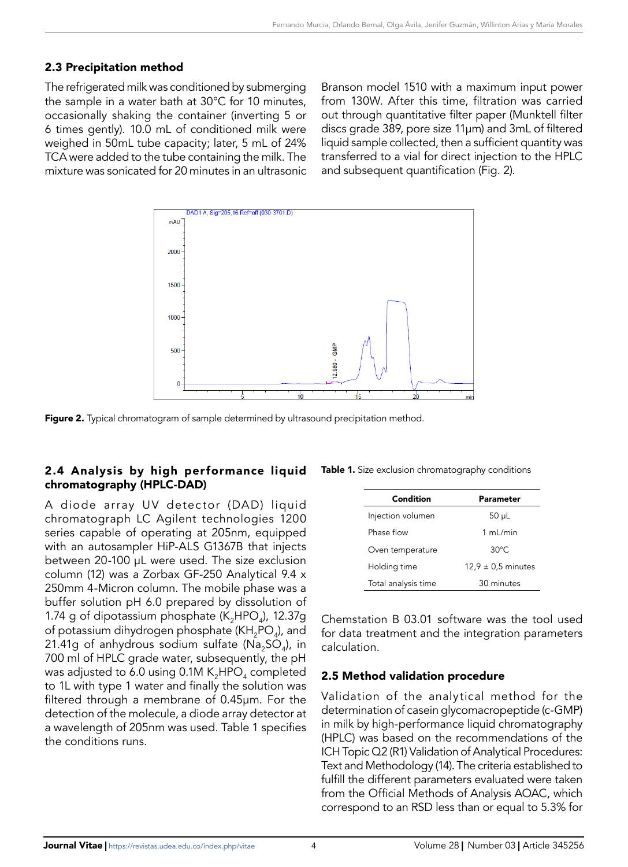# 2.3 Precipitation method

The refrigerated milk was conditioned by submerging the sample in a water bath at 30°C for 10 minutes, occasionally shaking the container (inverting 5 or 6 times gently). 10.0 mL of conditioned milk were weighed in 50mL tube capacity; later, 5 mL of 24% TCA were added to the tube containing the milk. The mixture was sonicated for 20 minutes in an ultrasonic

Branson model 1510 with a maximum input power from 130W. After this time, filtration was carried out through quantitative filter paper (Munktell filter discs grade 389, pore size 11μm) and 3mL of filtered liquid sample collected, then a sufficient quantity was transferred to a vial for direct injection to the HPLC and subsequent quantification (Fig. 2).



Figure 2. Typical chromatogram of sample determined by ultrasound precipitation method.

# 2.4 Analysis by high performance liquid chromatography (HPLC-DAD)

A diode array UV detector (DAD) liquid chromatograph LC Agilent technologies 1200 series capable of operating at 205nm, equipped with an autosampler HiP-ALS G1367B that injects between 20-100 µL were used. The size exclusion column (12) was a Zorbax GF-250 Analytical 9.4 x 250mm 4-Micron column. The mobile phase was a buffer solution pH 6.0 prepared by dissolution of 1.74 g of dipotassium phosphate ( $K_2$ HPO<sub>4</sub>), 12.37g of potassium dihydrogen phosphate ( $KH_{2}PO_{4}$ ), and 21.41g of anhydrous sodium sulfate (Na<sub>2</sub>SO<sub>4</sub>), in 700 ml of HPLC grade water, subsequently, the pH was adjusted to 6.0 using 0.1M  $K_2HPO_4$  completed to 1L with type 1 water and finally the solution was filtered through a membrane of 0.45µm. For the detection of the molecule, a diode array detector at a wavelength of 205nm was used. Table 1 specifies the conditions runs.

| Table 1. Size exclusion chromatography conditions |
|---------------------------------------------------|
|---------------------------------------------------|

| Condition           | <b>Parameter</b>       |  |  |
|---------------------|------------------------|--|--|
| Injection volumen   | $50 \mu L$             |  |  |
| Phase flow          | 1 ml/min               |  |  |
| Oven temperature    | $30^{\circ}$ C.        |  |  |
| Holding time        | $12.9 \pm 0.5$ minutes |  |  |
| Total analysis time | 30 minutes             |  |  |

Chemstation B 03.01 software was the tool used for data treatment and the integration parameters calculation.

## 2.5 Method validation procedure

Validation of the analytical method for the determination of casein glycomacropeptide (c-GMP) in milk by high-performance liquid chromatography (HPLC) was based on the recommendations of the ICH Topic Q2 (R1) Validation of Analytical Procedures: Text and Methodology (14). The criteria established to fulfill the different parameters evaluated were taken from the Official Methods of Analysis AOAC, which correspond to an RSD less than or equal to 5.3% for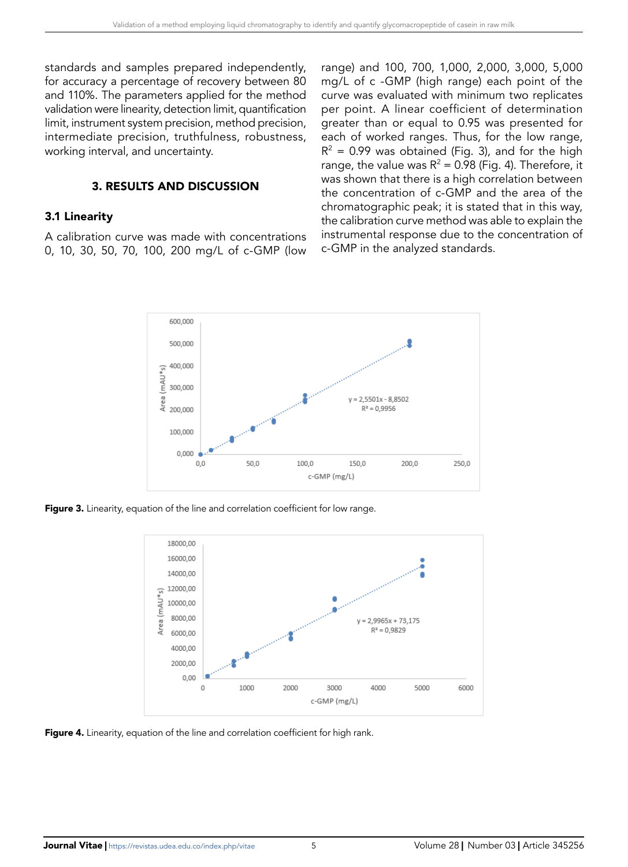standards and samples prepared independently, for accuracy a percentage of recovery between 80 and 110%. The parameters applied for the method validation were linearity, detection limit, quantification limit, instrument system precision, method precision, intermediate precision, truthfulness, robustness, working interval, and uncertainty.

#### 3. RESULTS AND DISCUSSION

#### 3.1 Linearity

A calibration curve was made with concentrations 0, 10, 30, 50, 70, 100, 200 mg/L of c-GMP (low range) and 100, 700, 1,000, 2,000, 3,000, 5,000 mg/L of c -GMP (high range) each point of the curve was evaluated with minimum two replicates per point. A linear coefficient of determination greater than or equal to 0.95 was presented for each of worked ranges. Thus, for the low range,  $R^2$  = 0.99 was obtained (Fig. 3), and for the high range, the value was  $R^2 = 0.98$  (Fig. 4). Therefore, it was shown that there is a high correlation between the concentration of c-GMP and the area of the chromatographic peak; it is stated that in this way, the calibration curve method was able to explain the instrumental response due to the concentration of c-GMP in the analyzed standards.



Figure 3. Linearity, equation of the line and correlation coefficient for low range.



**Figure 4.** Linearity, equation of the line and correlation coefficient for high rank.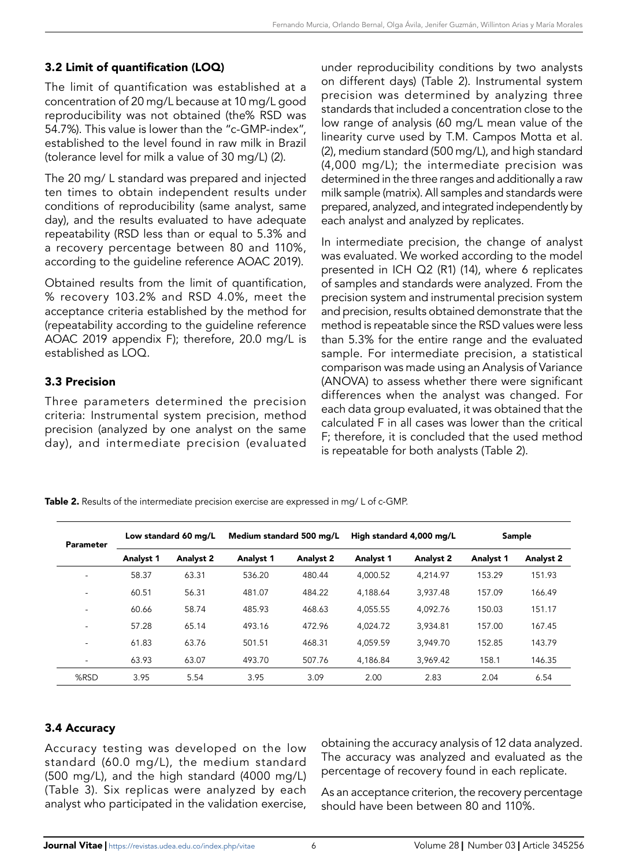# 3.2 Limit of quantification (LOQ)

The limit of quantification was established at a concentration of 20 mg/L because at 10 mg/L good reproducibility was not obtained (the% RSD was 54.7%). This value is lower than the "c-GMP-index", established to the level found in raw milk in Brazil (tolerance level for milk a value of 30 mg/L) (2).

The 20 mg/ L standard was prepared and injected ten times to obtain independent results under conditions of reproducibility (same analyst, same day), and the results evaluated to have adequate repeatability (RSD less than or equal to 5.3% and a recovery percentage between 80 and 110%, according to the guideline reference AOAC 2019).

Obtained results from the limit of quantification, % recovery 103.2% and RSD 4.0%, meet the acceptance criteria established by the method for (repeatability according to the guideline reference AOAC 2019 appendix F); therefore, 20.0 mg/L is established as LOO.

# 3.3 Precision

Three parameters determined the precision criteria: Instrumental system precision, method precision (analyzed by one analyst on the same day), and intermediate precision (evaluated under reproducibility conditions by two analysts on different days) (Table 2). Instrumental system precision was determined by analyzing three standards that included a concentration close to the low range of analysis (60 mg/L mean value of the linearity curve used by T.M. Campos Motta et al. (2), medium standard (500 mg/L), and high standard (4,000 mg/L); the intermediate precision was determined in the three ranges and additionally a raw milk sample (matrix). All samples and standards were prepared, analyzed, and integrated independently by each analyst and analyzed by replicates.

In intermediate precision, the change of analyst was evaluated. We worked according to the model presented in ICH Q2 (R1) (14), where 6 replicates of samples and standards were analyzed. From the precision system and instrumental precision system and precision, results obtained demonstrate that the method is repeatable since the RSD values were less than 5.3% for the entire range and the evaluated sample. For intermediate precision, a statistical comparison was made using an Analysis of Variance (ANOVA) to assess whether there were significant differences when the analyst was changed. For each data group evaluated, it was obtained that the calculated F in all cases was lower than the critical F; therefore, it is concluded that the used method is repeatable for both analysts (Table 2).

Table 2. Results of the intermediate precision exercise are expressed in mg/L of c-GMP.

| <b>Parameter</b> | Low standard 60 mg/L |                  | Medium standard 500 mg/L |                  | High standard 4,000 mg/L |                  | Sample    |           |
|------------------|----------------------|------------------|--------------------------|------------------|--------------------------|------------------|-----------|-----------|
|                  | <b>Analyst 1</b>     | <b>Analyst 2</b> | Analyst 1                | <b>Analyst 2</b> | Analyst 1                | <b>Analyst 2</b> | Analyst 1 | Analyst 2 |
|                  | 58.37                | 63.31            | 536.20                   | 480.44           | 4.000.52                 | 4.214.97         | 153.29    | 151.93    |
| ٠                | 60.51                | 56.31            | 481.07                   | 484.22           | 4.188.64                 | 3.937.48         | 157.09    | 166.49    |
|                  | 60.66                | 58.74            | 485.93                   | 468.63           | 4.055.55                 | 4.092.76         | 150.03    | 151.17    |
| ٠                | 57.28                | 65.14            | 493.16                   | 472.96           | 4.024.72                 | 3.934.81         | 157.00    | 167.45    |
| ۰                | 61.83                | 63.76            | 501.51                   | 468.31           | 4.059.59                 | 3.949.70         | 152.85    | 143.79    |
| ۰                | 63.93                | 63.07            | 493.70                   | 507.76           | 4.186.84                 | 3.969.42         | 158.1     | 146.35    |
| %RSD             | 3.95                 | 5.54             | 3.95                     | 3.09             | 2.00                     | 2.83             | 2.04      | 6.54      |

# 3.4 Accuracy

Accuracy testing was developed on the low standard (60.0 mg/L), the medium standard (500 mg/L), and the high standard (4000 mg/L) (Table 3). Six replicas were analyzed by each analyst who participated in the validation exercise,

obtaining the accuracy analysis of 12 data analyzed. The accuracy was analyzed and evaluated as the percentage of recovery found in each replicate.

As an acceptance criterion, the recovery percentage should have been between 80 and 110%.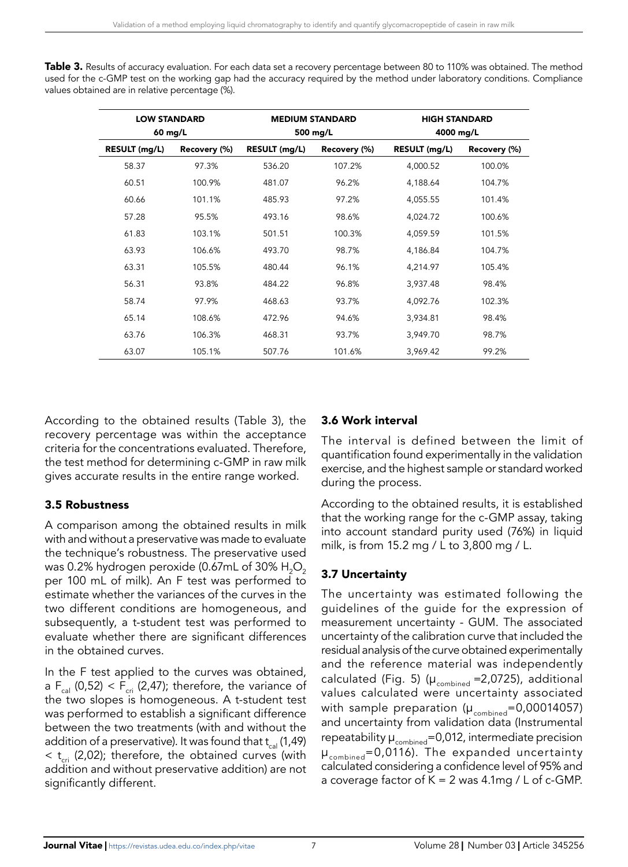| Table 3. Results of accuracy evaluation. For each data set a recovery percentage between 80 to 110% was obtained. The method |  |
|------------------------------------------------------------------------------------------------------------------------------|--|
| used for the c-GMP test on the working gap had the accuracy required by the method under laboratory conditions. Compliance   |  |
| values obtained are in relative percentage (%).                                                                              |  |

| <b>LOW STANDARD</b><br>60 mg/L |              | <b>MEDIUM STANDARD</b><br>500 mg/L |        | <b>HIGH STANDARD</b><br>4000 mg/L |              |  |
|--------------------------------|--------------|------------------------------------|--------|-----------------------------------|--------------|--|
| RESULT (mg/L)                  | Recovery (%) | RESULT (mg/L)<br>Recovery (%)      |        | RESULT (mg/L)                     | Recovery (%) |  |
| 58.37                          | 97.3%        | 536.20                             | 107.2% | 4,000.52                          | 100.0%       |  |
| 60.51                          | 100.9%       | 481.07                             | 96.2%  | 4,188.64                          | 104.7%       |  |
| 60.66                          | 101.1%       | 485.93                             | 97.2%  | 4,055.55                          | 101.4%       |  |
| 57.28                          | 95.5%        | 493.16                             | 98.6%  | 4,024.72                          | 100.6%       |  |
| 61.83                          | 103.1%       | 501.51                             | 100.3% | 4,059.59                          | 101.5%       |  |
| 63.93                          | 106.6%       | 493.70                             | 98.7%  | 4,186.84                          | 104.7%       |  |
| 63.31                          | 105.5%       | 480.44                             | 96.1%  | 4,214.97                          | 105.4%       |  |
| 56.31                          | 93.8%        | 484.22                             | 96.8%  | 3,937.48                          | 98.4%        |  |
| 58.74                          | 97.9%        | 468.63                             | 93.7%  | 4,092.76                          | 102.3%       |  |
| 65.14                          | 108.6%       | 472.96                             | 94.6%  | 3,934.81                          | 98.4%        |  |
| 63.76                          | 106.3%       | 468.31                             | 93.7%  | 3,949.70                          | 98.7%        |  |
| 63.07                          | 105.1%       | 507.76                             | 101.6% | 3,969.42                          | 99.2%        |  |

According to the obtained results (Table 3), the recovery percentage was within the acceptance criteria for the concentrations evaluated. Therefore, the test method for determining c-GMP in raw milk gives accurate results in the entire range worked.

# 3.5 Robustness

A comparison among the obtained results in milk with and without a preservative was made to evaluate the technique's robustness. The preservative used was 0.2% hydrogen peroxide (0.67mL of 30%  $H_2O_2$ ) per 100 mL of milk). An F test was performed to estimate whether the variances of the curves in the two different conditions are homogeneous, and subsequently, a t-student test was performed to evaluate whether there are significant differences in the obtained curves.

In the F test applied to the curves was obtained, a  $F_{\text{cal}}(0,52) < F_{\text{crit}}(2,47)$ ; therefore, the variance of the two slopes is homogeneous. A t-student test was performed to establish a significant difference between the two treatments (with and without the addition of a preservative). It was found that  $t_{\text{cal}}(1,49)$  $<$  t<sub>cri</sub> (2,02); therefore, the obtained curves (with addition and without preservative addition) are not significantly different.

# 3.6 Work interval

The interval is defined between the limit of quantification found experimentally in the validation exercise, and the highest sample or standard worked during the process.

According to the obtained results, it is established that the working range for the c-GMP assay, taking into account standard purity used (76%) in liquid milk, is from 15.2 mg / L to 3,800 mg / L.

# 3.7 Uncertainty

The uncertainty was estimated following the guidelines of the guide for the expression of measurement uncertainty - GUM. The associated uncertainty of the calibration curve that included the residual analysis of the curve obtained experimentally and the reference material was independently calculated (Fig. 5) ( $\mu_{\text{combined}} = 2,0725$ ), additional values calculated were uncertainty associated with sample preparation ( $\mu_{\text{combined}}$ =0,00014057) and uncertainty from validation data (Instrumental repeatability  $\mu_{\text{combined}} = 0.012$ , intermediate precision  $\mu_{\text{combined}} = 0.0116$ ). The expanded uncertainty calculated considering a confidence level of 95% and a coverage factor of  $K = 2$  was 4.1mg / L of c-GMP.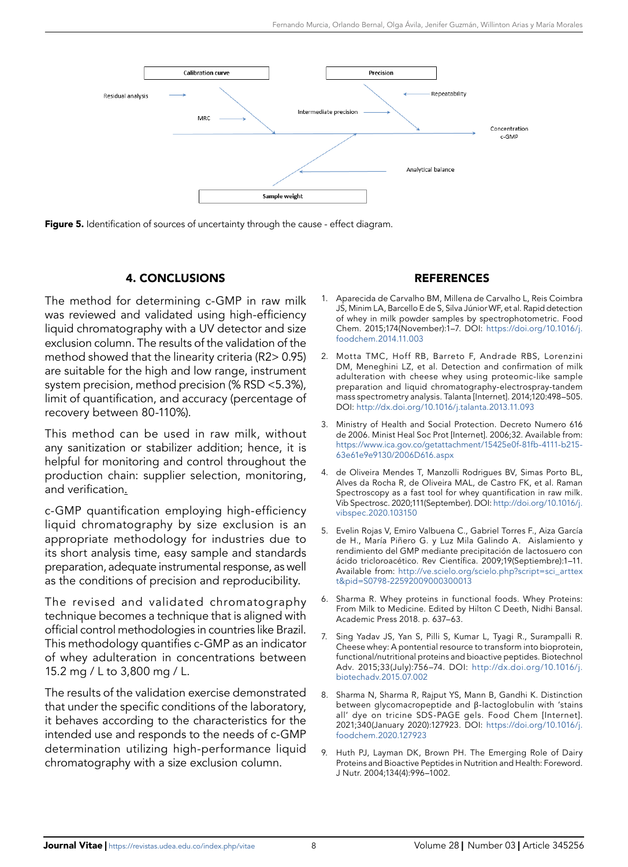

Figure 5. Identification of sources of uncertainty through the cause - effect diagram.

#### 4. CONCLUSIONS

The method for determining c-GMP in raw milk was reviewed and validated using high-efficiency liquid chromatography with a UV detector and size exclusion column. The results of the validation of the method showed that the linearity criteria (R2> 0.95) are suitable for the high and low range, instrument system precision, method precision (% RSD <5.3%), limit of quantification, and accuracy (percentage of recovery between 80-110%).

This method can be used in raw milk, without any sanitization or stabilizer addition; hence, it is helpful for monitoring and control throughout the production chain: supplier selection, monitoring, and verification.

c-GMP quantification employing high-efficiency liquid chromatography by size exclusion is an appropriate methodology for industries due to its short analysis time, easy sample and standards preparation, adequate instrumental response, as well as the conditions of precision and reproducibility.

The revised and validated chromatography technique becomes a technique that is aligned with official control methodologies in countries like Brazil. This methodology quantifies c-GMP as an indicator of whey adulteration in concentrations between 15.2 mg / L to 3,800 mg / L.

The results of the validation exercise demonstrated that under the specific conditions of the laboratory, it behaves according to the characteristics for the intended use and responds to the needs of c-GMP determination utilizing high-performance liquid chromatography with a size exclusion column.

## REFERENCES

- 1. Aparecida de Carvalho BM, Millena de Carvalho L, Reis Coimbra JS, Minim LA, Barcello E de S, Silva Júnior WF, et al. Rapid detection of whey in milk powder samples by spectrophotometric. Food Chem. 2015;174(November):1–7. DOI: [https://doi.org/10.1016/j.](https://doi.org/10.1016/j.foodchem.2014.11.003) [foodchem.2014.11.003](https://doi.org/10.1016/j.foodchem.2014.11.003)
- 2. Motta TMC, Hoff RB, Barreto F, Andrade RBS, Lorenzini DM, Meneghini LZ, et al. Detection and confirmation of milk adulteration with cheese whey using proteomic-like sample preparation and liquid chromatography-electrospray-tandem mass spectrometry analysis. Talanta [Internet]. 2014;120:498–505. DOI: <http://dx.doi.org/10.1016/j.talanta.2013.11.093>
- 3. Ministry of Health and Social Protection. Decreto Numero 616 de 2006. Minist Heal Soc Prot [Internet]. 2006;32. Available from: [https://www.ica.gov.co/getattachment/15425e0f-81fb-4111-b215-](https://www.ica.gov.co/getattachment/15425e0f-81fb-4111-b215-63e61e9e9130/2006D616.aspx) [63e61e9e9130/2006D616.aspx](https://www.ica.gov.co/getattachment/15425e0f-81fb-4111-b215-63e61e9e9130/2006D616.aspx)
- 4. de Oliveira Mendes T, Manzolli Rodrigues BV, Simas Porto BL, Alves da Rocha R, de Oliveira MAL, de Castro FK, et al. Raman Spectroscopy as a fast tool for whey quantification in raw milk. Vib Spectrosc. 2020;111(September). DOI: [http://doi.org/10.1016/j.](http://doi.org/10.1016/j.vibspec.2020.103150) [vibspec.2020.103150](http://doi.org/10.1016/j.vibspec.2020.103150)
- 5. Evelin Rojas V, Emiro Valbuena C., Gabriel Torres F., Aiza García de H., María Piñero G. y Luz Mila Galindo A. Aislamiento y rendimiento del GMP mediante precipitación de lactosuero con ácido tricloroacético. Rev Científica. 2009;19(Septiembre):1–11. Available from: [http://ve.scielo.org/scielo.php?script=sci\\_arttex](http://ve.scielo.org/scielo.php?script=sci_arttext&pid=S0798-22592009000300013) [t&pid=S0798-22592009000300013](http://ve.scielo.org/scielo.php?script=sci_arttext&pid=S0798-22592009000300013)
- Sharma R. Whey proteins in functional foods. Whey Proteins: From Milk to Medicine. Edited by Hilton C Deeth, Nidhi Bansal. Academic Press 2018. p. 637–63.
- 7. Sing Yadav JS, Yan S, Pilli S, Kumar L, Tyagi R., Surampalli R. Cheese whey: A pontential resource to transform into bioprotein, functional/nutritional proteins and bioactive peptides. Biotechnol Adv. 2015;33(July):756–74. DOI: [http://dx.doi.org/10.1016/j.](http://dx.doi.org/10.1016/j.biotechadv.2015.07.002) [biotechadv.2015.07.002](http://dx.doi.org/10.1016/j.biotechadv.2015.07.002)
- 8. Sharma N, Sharma R, Rajput YS, Mann B, Gandhi K. Distinction between glycomacropeptide and β-lactoglobulin with 'stains all' dye on tricine SDS-PAGE gels. Food Chem [Internet]. 2021;340(January 2020):127923. DOI: [https://doi.org/10.1016/j.](https://doi.org/10.1016/j.foodchem.2020.127923) [foodchem.2020.127923](https://doi.org/10.1016/j.foodchem.2020.127923)
- 9. Huth PJ, Layman DK, Brown PH. The Emerging Role of Dairy Proteins and Bioactive Peptides in Nutrition and Health: Foreword. J Nutr. 2004;134(4):996–1002.